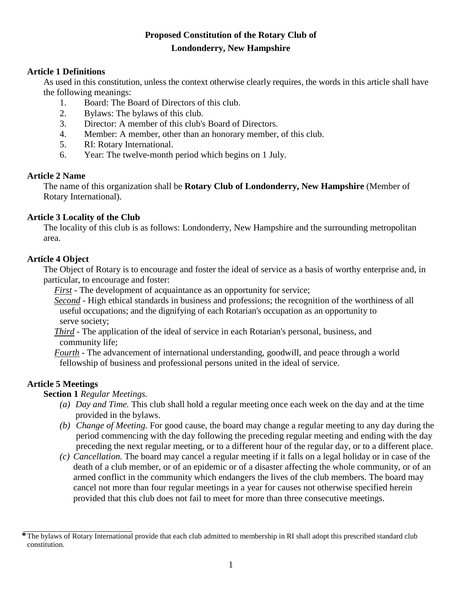# **Proposed Constitution of the Rotary Club of Londonderry, New Hampshire**

## **Article 1 Definitions**

As used in this constitution, unless the context otherwise clearly requires, the words in this article shall have the following meanings:

- 1. Board: The Board of Directors of this club.
- 2. Bylaws: The bylaws of this club.
- 3. Director: A member of this club's Board of Directors.
- 4. Member: A member, other than an honorary member, of this club.
- 5. RI: Rotary International.
- 6. Year: The twelve-month period which begins on 1 July.

#### **Article 2 Name**

The name of this organization shall be **Rotary Club of Londonderry, New Hampshire** (Member of Rotary International).

### **Article 3 Locality of the Club**

The locality of this club is as follows: Londonderry, New Hampshire and the surrounding metropolitan area.

### **Article 4 Object**

The Object of Rotary is to encourage and foster the ideal of service as a basis of worthy enterprise and, in particular, to encourage and foster:

*First -* The development of acquaintance as an opportunity for service;

*Second -* High ethical standards in business and professions; the recognition of the worthiness of all useful occupations; and the dignifying of each Rotarian's occupation as an opportunity to serve society;

*Third -* The application of the ideal of service in each Rotarian's personal, business, and community life;

*Fourth -* The advancement of international understanding, goodwill, and peace through a world fellowship of business and professional persons united in the ideal of service.

## **Article 5 Meetings**

**Section 1** *Regular Meetings.*

- *(a) Day and Time.* This club shall hold a regular meeting once each week on the day and at the time provided in the bylaws.
- *(b) Change of Meeting.* For good cause, the board may change a regular meeting to any day during the period commencing with the day following the preceding regular meeting and ending with the day preceding the next regular meeting, or to a different hour of the regular day, or to a different place.
- *(c) Cancellation.* The board may cancel a regular meeting if it falls on a legal holiday or in case of the death of a club member, or of an epidemic or of a disaster affecting the whole community, or of an armed conflict in the community which endangers the lives of the club members. The board may cancel not more than four regular meetings in a year for causes not otherwise specified herein provided that this club does not fail to meet for more than three consecutive meetings.

**<sup>\*</sup>**The bylaws of Rotary International provide that each club admitted to membership in RI shall adopt this prescribed standard club constitution.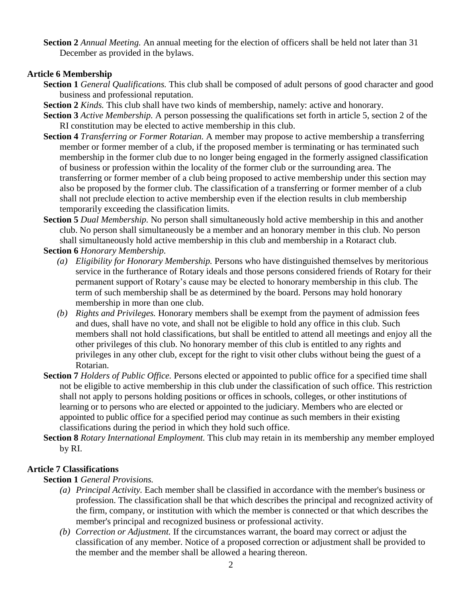**Section 2** *Annual Meeting.* An annual meeting for the election of officers shall be held not later than 31 December as provided in the bylaws.

## **Article 6 Membership**

- **Section 1** *General Qualifications.* This club shall be composed of adult persons of good character and good business and professional reputation.
- **Section 2** *Kinds.* This club shall have two kinds of membership, namely: active and honorary.
- **Section 3** *Active Membership.* A person possessing the qualifications set forth in article 5, section 2 of the RI constitution may be elected to active membership in this club.
- **Section 4** *Transferring or Former Rotarian.* A member may propose to active membership a transferring member or former member of a club, if the proposed member is terminating or has terminated such membership in the former club due to no longer being engaged in the formerly assigned classification of business or profession within the locality of the former club or the surrounding area. The transferring or former member of a club being proposed to active membership under this section may also be proposed by the former club. The classification of a transferring or former member of a club shall not preclude election to active membership even if the election results in club membership temporarily exceeding the classification limits.
- **Section 5** *Dual Membership.* No person shall simultaneously hold active membership in this and another club. No person shall simultaneously be a member and an honorary member in this club. No person shall simultaneously hold active membership in this club and membership in a Rotaract club.

**Section 6** *Honorary Membership.*

- *(a) Eligibility for Honorary Membership.* Persons who have distinguished themselves by meritorious service in the furtherance of Rotary ideals and those persons considered friends of Rotary for their permanent support of Rotary's cause may be elected to honorary membership in this club. The term of such membership shall be as determined by the board. Persons may hold honorary membership in more than one club.
- *(b) Rights and Privileges.* Honorary members shall be exempt from the payment of admission fees and dues, shall have no vote, and shall not be eligible to hold any office in this club. Such members shall not hold classifications, but shall be entitled to attend all meetings and enjoy all the other privileges of this club. No honorary member of this club is entitled to any rights and privileges in any other club, except for the right to visit other clubs without being the guest of a Rotarian.
- **Section 7** *Holders of Public Office.* Persons elected or appointed to public office for a specified time shall not be eligible to active membership in this club under the classification of such office. This restriction shall not apply to persons holding positions or offices in schools, colleges, or other institutions of learning or to persons who are elected or appointed to the judiciary. Members who are elected or appointed to public office for a specified period may continue as such members in their existing classifications during the period in which they hold such office.
- **Section 8** *Rotary International Employment.* This club may retain in its membership any member employed by RI.

## **Article 7 Classifications**

## **Section 1** *General Provisions.*

- *(a) Principal Activity.* Each member shall be classified in accordance with the member's business or profession. The classification shall be that which describes the principal and recognized activity of the firm, company, or institution with which the member is connected or that which describes the member's principal and recognized business or professional activity.
- *(b) Correction or Adjustment.* If the circumstances warrant, the board may correct or adjust the classification of any member. Notice of a proposed correction or adjustment shall be provided to the member and the member shall be allowed a hearing thereon.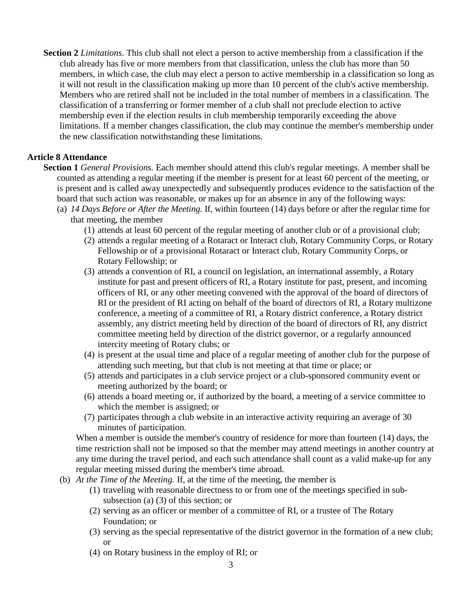**Section 2** *Limitations.* This club shall not elect a person to active membership from a classification if the club already has five or more members from that classification, unless the club has more than 50 members, in which case, the club may elect a person to active membership in a classification so long as it will not result in the classification making up more than 10 percent of the club's active membership. Members who are retired shall not be included in the total number of members in a classification. The classification of a transferring or former member of a club shall not preclude election to active membership even if the election results in club membership temporarily exceeding the above limitations. If a member changes classification, the club may continue the member's membership under the new classification notwithstanding these limitations.

### **Article 8 Attendance**

- **Section 1** *General Provisions.* Each member should attend this club's regular meetings. A member shall be counted as attending a regular meeting if the member is present for at least 60 percent of the meeting, or is present and is called away unexpectedly and subsequently produces evidence to the satisfaction of the board that such action was reasonable, or makes up for an absence in any of the following ways:
	- (a) *14 Days Before or After the Meeting.* If, within fourteen (14) days before or after the regular time for that meeting, the member
		- (1) attends at least 60 percent of the regular meeting of another club or of a provisional club;
		- (2) attends a regular meeting of a Rotaract or Interact club, Rotary Community Corps, or Rotary Fellowship or of a provisional Rotaract or Interact club, Rotary Community Corps, or Rotary Fellowship; or
		- (3) attends a convention of RI, a council on legislation, an international assembly, a Rotary institute for past and present officers of RI, a Rotary institute for past, present, and incoming officers of RI, or any other meeting convened with the approval of the board of directors of RI or the president of RI acting on behalf of the board of directors of RI, a Rotary multizone conference, a meeting of a committee of RI, a Rotary district conference, a Rotary district assembly, any district meeting held by direction of the board of directors of RI, any district committee meeting held by direction of the district governor, or a regularly announced intercity meeting of Rotary clubs; or
		- (4) is present at the usual time and place of a regular meeting of another club for the purpose of attending such meeting, but that club is not meeting at that time or place; or
		- (5) attends and participates in a club service project or a club-sponsored community event or meeting authorized by the board; or
		- (6) attends a board meeting or, if authorized by the board, a meeting of a service committee to which the member is assigned; or
		- (7) participates through a club website in an interactive activity requiring an average of 30 minutes of participation.

When a member is outside the member's country of residence for more than fourteen (14) days, the time restriction shall not be imposed so that the member may attend meetings in another country at any time during the travel period, and each such attendance shall count as a valid make-up for any regular meeting missed during the member's time abroad.

- (b) *At the Time of the Meeting.* If, at the time of the meeting, the member is
	- (1) traveling with reasonable directness to or from one of the meetings specified in subsubsection (a) (3) of this section; or
	- (2) serving as an officer or member of a committee of RI, or a trustee of The Rotary Foundation; or
	- (3) serving as the special representative of the district governor in the formation of a new club; or
	- (4) on Rotary business in the employ of RI; or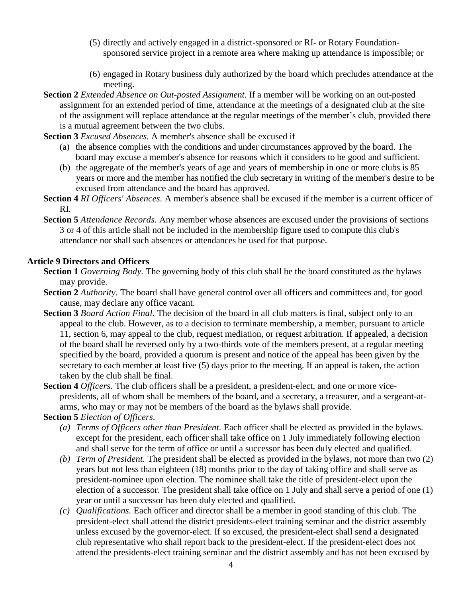- (5) directly and actively engaged in a district-sponsored or RI- or Rotary Foundationsponsored service project in a remote area where making up attendance is impossible; or
- (6) engaged in Rotary business duly authorized by the board which precludes attendance at the meeting.
- **Section 2** *Extended Absence on Out-posted Assignment.* If a member will be working on an out-posted assignment for an extended period of time, attendance at the meetings of a designated club at the site of the assignment will replace attendance at the regular meetings of the member's club, provided there is a mutual agreement between the two clubs.
- **Section 3** *Excused Absences.* A member's absence shall be excused if
	- (a) the absence complies with the conditions and under circumstances approved by the board. The board may excuse a member's absence for reasons which it considers to be good and sufficient.
	- (b) the aggregate of the member's years of age and years of membership in one or more clubs is 85 years or more and the member has notified the club secretary in writing of the member's desire to be excused from attendance and the board has approved.
- **Section 4** *RI Officers' Absences.* A member's absence shall be excused if the member is a current officer of RI.
- **Section 5** *Attendance Records.* Any member whose absences are excused under the provisions of sections 3 or 4 of this article shall not be included in the membership figure used to compute this club's attendance nor shall such absences or attendances be used for that purpose.

#### **Article 9 Directors and Officers**

- **Section 1** *Governing Body.* The governing body of this club shall be the board constituted as the bylaws may provide.
- **Section 2** *Authority*. The board shall have general control over all officers and committees and, for good cause, may declare any office vacant.
- **Section 3** *Board Action Final.* The decision of the board in all club matters is final, subject only to an appeal to the club. However, as to a decision to terminate membership, a member, pursuant to article 11, section 6, may appeal to the club, request mediation, or request arbitration. If appealed, a decision of the board shall be reversed only by a two-thirds vote of the members present, at a regular meeting specified by the board, provided a quorum is present and notice of the appeal has been given by the secretary to each member at least five (5) days prior to the meeting. If an appeal is taken, the action taken by the club shall be final.
- **Section 4** *Officers.* The club officers shall be a president, a president-elect, and one or more vicepresidents, all of whom shall be members of the board, and a secretary, a treasurer, and a sergeant-atarms, who may or may not be members of the board as the bylaws shall provide.

#### **Section 5** *Election of Officers.*

- *(a) Terms of Officers other than President.* Each officer shall be elected as provided in the bylaws. except for the president, each officer shall take office on 1 July immediately following election and shall serve for the term of office or until a successor has been duly elected and qualified.
- *(b) Term of President.* The president shall be elected as provided in the bylaws, not more than two (2) years but not less than eighteen (18) months prior to the day of taking office and shall serve as president-nominee upon election. The nominee shall take the title of president-elect upon the election of a successor. The president shall take office on 1 July and shall serve a period of one (1) year or until a successor has been duly elected and qualified.
- *(c) Qualifications.* Each officer and director shall be a member in good standing of this club. The president-elect shall attend the district presidents-elect training seminar and the district assembly unless excused by the governor-elect. If so excused, the president-elect shall send a designated club representative who shall report back to the president-elect. If the president-elect does not attend the presidents-elect training seminar and the district assembly and has not been excused by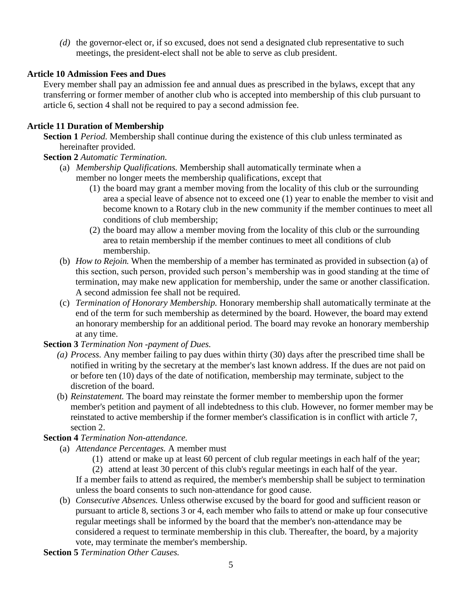*(d)* the governor-elect or, if so excused, does not send a designated club representative to such meetings, the president-elect shall not be able to serve as club president.

## **Article 10 Admission Fees and Dues**

Every member shall pay an admission fee and annual dues as prescribed in the bylaws, except that any transferring or former member of another club who is accepted into membership of this club pursuant to article 6, section 4 shall not be required to pay a second admission fee.

## **Article 11 Duration of Membership**

**Section 1** *Period.* Membership shall continue during the existence of this club unless terminated as hereinafter provided.

## **Section 2** *Automatic Termination.*

- (a) *Membership Qualifications.* Membership shall automatically terminate when a member no longer meets the membership qualifications, except that
	- (1) the board may grant a member moving from the locality of this club or the surrounding area a special leave of absence not to exceed one (1) year to enable the member to visit and become known to a Rotary club in the new community if the member continues to meet all conditions of club membership;
	- (2) the board may allow a member moving from the locality of this club or the surrounding area to retain membership if the member continues to meet all conditions of club membership.
- (b) *How to Rejoin.* When the membership of a member has terminated as provided in subsection (a) of this section, such person, provided such person's membership was in good standing at the time of termination, may make new application for membership, under the same or another classification. A second admission fee shall not be required.
- (c) *Termination of Honorary Membership.* Honorary membership shall automatically terminate at the end of the term for such membership as determined by the board. However, the board may extend an honorary membership for an additional period. The board may revoke an honorary membership at any time.

## **Section 3** *Termination Non -payment of Dues.*

- *(a) Process.* Any member failing to pay dues within thirty (30) days after the prescribed time shall be notified in writing by the secretary at the member's last known address. If the dues are not paid on or before ten (10) days of the date of notification, membership may terminate, subject to the discretion of the board.
- (b) *Reinstatement.* The board may reinstate the former member to membership upon the former member's petition and payment of all indebtedness to this club. However, no former member may be reinstated to active membership if the former member's classification is in conflict with article 7, section 2.

## **Section 4** *Termination Non-attendance.*

- (a) *Attendance Percentages.* A member must
	- (1) attend or make up at least 60 percent of club regular meetings in each half of the year;

(2) attend at least 30 percent of this club's regular meetings in each half of the year. If a member fails to attend as required, the member's membership shall be subject to termination unless the board consents to such non-attendance for good cause.

(b) *Consecutive Absences.* Unless otherwise excused by the board for good and sufficient reason or pursuant to article 8, sections 3 or 4, each member who fails to attend or make up four consecutive regular meetings shall be informed by the board that the member's non-attendance may be considered a request to terminate membership in this club. Thereafter, the board, by a majority vote, may terminate the member's membership.

**Section 5** *Termination Other Causes.*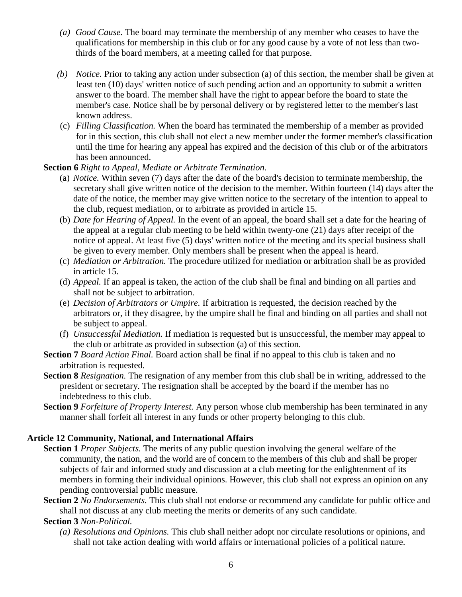- *(a) Good Cause.* The board may terminate the membership of any member who ceases to have the qualifications for membership in this club or for any good cause by a vote of not less than twothirds of the board members, at a meeting called for that purpose.
- *(b) Notice.* Prior to taking any action under subsection (a) of this section, the member shall be given at least ten (10) days' written notice of such pending action and an opportunity to submit a written answer to the board. The member shall have the right to appear before the board to state the member's case. Notice shall be by personal delivery or by registered letter to the member's last known address.
- (c) *Filling Classification.* When the board has terminated the membership of a member as provided for in this section, this club shall not elect a new member under the former member's classification until the time for hearing any appeal has expired and the decision of this club or of the arbitrators has been announced.

#### **Section 6** *Right to Appeal, Mediate or Arbitrate Termination.*

- (a) *Notice.* Within seven (7) days after the date of the board's decision to terminate membership, the secretary shall give written notice of the decision to the member. Within fourteen (14) days after the date of the notice, the member may give written notice to the secretary of the intention to appeal to the club, request mediation, or to arbitrate as provided in article 15.
- (b) *Date for Hearing of Appeal.* In the event of an appeal, the board shall set a date for the hearing of the appeal at a regular club meeting to be held within twenty-one (21) days after receipt of the notice of appeal. At least five (5) days' written notice of the meeting and its special business shall be given to every member. Only members shall be present when the appeal is heard.
- (c) *Mediation or Arbitration.* The procedure utilized for mediation or arbitration shall be as provided in article 15.
- (d) *Appeal.* If an appeal is taken, the action of the club shall be final and binding on all parties and shall not be subject to arbitration.
- (e) *Decision of Arbitrators or Umpire.* If arbitration is requested, the decision reached by the arbitrators or, if they disagree, by the umpire shall be final and binding on all parties and shall not be subject to appeal.
- (f) *Unsuccessful Mediation.* If mediation is requested but is unsuccessful, the member may appeal to the club or arbitrate as provided in subsection (a) of this section.
- **Section 7** *Board Action Final.* Board action shall be final if no appeal to this club is taken and no arbitration is requested.
- **Section 8** *Resignation.* The resignation of any member from this club shall be in writing, addressed to the president or secretary. The resignation shall be accepted by the board if the member has no indebtedness to this club.
- **Section 9** *Forfeiture of Property Interest.* Any person whose club membership has been terminated in any manner shall forfeit all interest in any funds or other property belonging to this club.

#### **Article 12 Community, National, and International Affairs**

- **Section 1** *Proper Subjects.* The merits of any public question involving the general welfare of the community, the nation, and the world are of concern to the members of this club and shall be proper subjects of fair and informed study and discussion at a club meeting for the enlightenment of its members in forming their individual opinions. However, this club shall not express an opinion on any pending controversial public measure.
- **Section 2** *No Endorsements.* This club shall not endorse or recommend any candidate for public office and shall not discuss at any club meeting the merits or demerits of any such candidate.

#### **Section 3** *Non-Political.*

*(a) Resolutions and Opinions.* This club shall neither adopt nor circulate resolutions or opinions, and shall not take action dealing with world affairs or international policies of a political nature.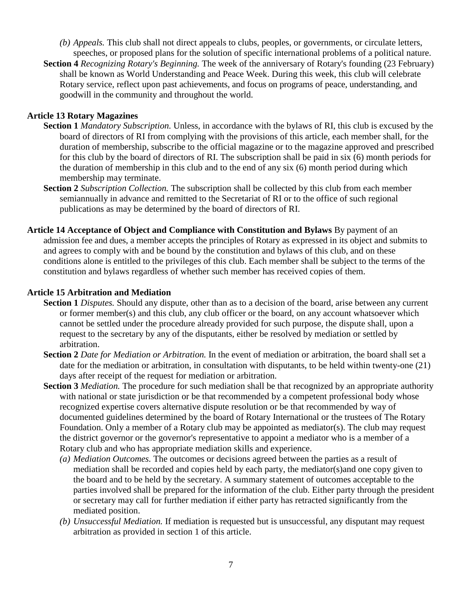- *(b) Appeals.* This club shall not direct appeals to clubs, peoples, or governments, or circulate letters, speeches, or proposed plans for the solution of specific international problems of a political nature.
- **Section 4** *Recognizing Rotary's Beginning.* The week of the anniversary of Rotary's founding (23 February) shall be known as World Understanding and Peace Week. During this week, this club will celebrate Rotary service, reflect upon past achievements, and focus on programs of peace, understanding, and goodwill in the community and throughout the world.

### **Article 13 Rotary Magazines**

- **Section 1** *Mandatory Subscription.* Unless, in accordance with the bylaws of RI, this club is excused by the board of directors of RI from complying with the provisions of this article, each member shall, for the duration of membership, subscribe to the official magazine or to the magazine approved and prescribed for this club by the board of directors of RI. The subscription shall be paid in six (6) month periods for the duration of membership in this club and to the end of any six (6) month period during which membership may terminate.
- **Section 2** *Subscription Collection.* The subscription shall be collected by this club from each member semiannually in advance and remitted to the Secretariat of RI or to the office of such regional publications as may be determined by the board of directors of RI.
- **Article 14 Acceptance of Object and Compliance with Constitution and Bylaws** By payment of an admission fee and dues, a member accepts the principles of Rotary as expressed in its object and submits to and agrees to comply with and be bound by the constitution and bylaws of this club, and on these conditions alone is entitled to the privileges of this club. Each member shall be subject to the terms of the constitution and bylaws regardless of whether such member has received copies of them.

### **Article 15 Arbitration and Mediation**

- **Section 1** *Disputes.* Should any dispute, other than as to a decision of the board, arise between any current or former member(s) and this club, any club officer or the board, on any account whatsoever which cannot be settled under the procedure already provided for such purpose, the dispute shall, upon a request to the secretary by any of the disputants, either be resolved by mediation or settled by arbitration.
- **Section 2** *Date for Mediation or Arbitration.* In the event of mediation or arbitration, the board shall set a date for the mediation or arbitration, in consultation with disputants, to be held within twenty-one (21) days after receipt of the request for mediation or arbitration.
- **Section 3** *Mediation.* The procedure for such mediation shall be that recognized by an appropriate authority with national or state jurisdiction or be that recommended by a competent professional body whose recognized expertise covers alternative dispute resolution or be that recommended by way of documented guidelines determined by the board of Rotary International or the trustees of The Rotary Foundation. Only a member of a Rotary club may be appointed as mediator(s). The club may request the district governor or the governor's representative to appoint a mediator who is a member of a Rotary club and who has appropriate mediation skills and experience.
	- *(a) Mediation Outcomes.* The outcomes or decisions agreed between the parties as a result of mediation shall be recorded and copies held by each party, the mediator(s)and one copy given to the board and to be held by the secretary. A summary statement of outcomes acceptable to the parties involved shall be prepared for the information of the club. Either party through the president or secretary may call for further mediation if either party has retracted significantly from the mediated position.
	- *(b) Unsuccessful Mediation.* If mediation is requested but is unsuccessful, any disputant may request arbitration as provided in section 1 of this article.